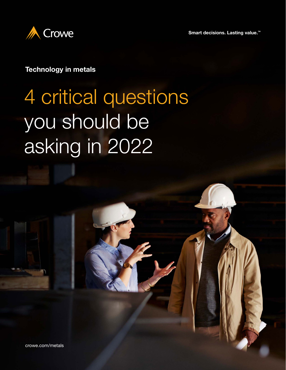**Smart decisions. Lasting value.™**



### **Technology in metals**

# 4 critical questions you should be asking in 2022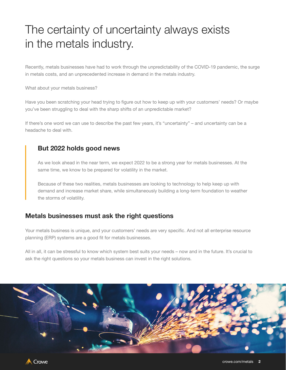# The certainty of uncertainty always exists in the metals industry.

Recently, metals businesses have had to work through the unpredictability of the COVID-19 pandemic, the surge in metals costs, and an unprecedented increase in demand in the metals industry.

What about your metals business?

Have you been scratching your head trying to figure out how to keep up with your customers' needs? Or maybe you've been struggling to deal with the sharp shifts of an unpredictable market?

If there's one word we can use to describe the past few years, it's "uncertainty" – and uncertainty can be a headache to deal with.

### **But 2022 holds good news**

As we look ahead in the near term, we expect 2022 to be a strong year for metals businesses. At the same time, we know to be prepared for volatility in the market.

Because of these two realities, metals businesses are looking to technology to help keep up with demand and increase market share, while simultaneously building a long-term foundation to weather the storms of volatility.

#### **Metals businesses must ask the right questions**

Your metals business is unique, and your customers' needs are very specific. And not all enterprise resource planning (ERP) systems are a good fit for metals businesses.

All in all, it can be stressful to know which system best suits your needs – now and in the future. It's crucial to ask the right questions so your metals business can invest in the right solutions.



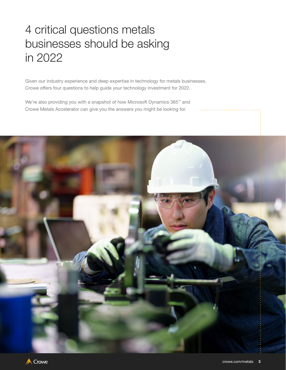# 4 critical questions metals businesses should be asking in 2022

Given our industry experience and deep expertise in technology for metals businesses, Crowe offers four questions to help guide your technology investment for 2022.

We're also providing you with a snapshot of how Microsoft Dynamics 365™ and Crowe Metals Accelerator can give you the answers you might be looking for.

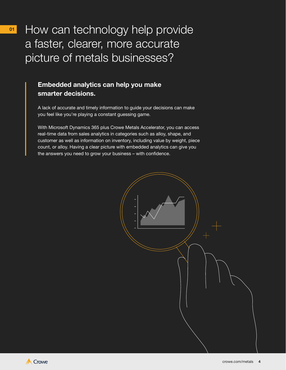How can technology help provide a faster, clearer, more accurate picture of metals businesses?

### **Embedded analytics can help you make smarter decisions.**

A lack of accurate and timely information to guide your decisions can make you feel like you're playing a constant guessing game.

With Microsoft Dynamics 365 plus Crowe Metals Accelerator, you can access real-time data from sales analytics in categories such as alloy, shape, and customer as well as information on inventory, including value by weight, piece count, or alloy. Having a clear picture with embedded analytics can give you the answers you need to grow your business – with confidence.



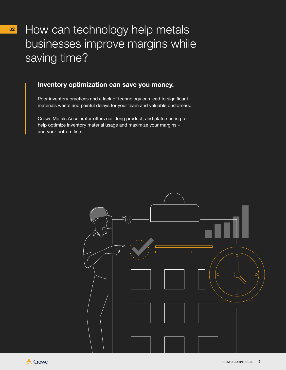## How can technology help metals businesses improve margins while saving time?

### **Inventory optimization can save you money.**

Poor inventory practices and a lack of technology can lead to significant materials waste and painful delays for your team and valuable customers.

Crowe Metals Accelerator offers coil, long product, and plate nesting to help optimize inventory material usage and maximize your margins – and your bottom line.



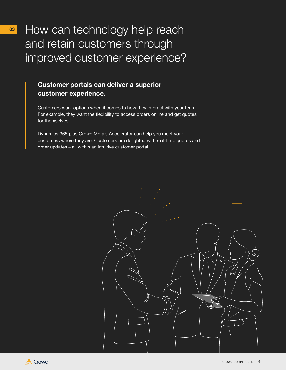How can technology help reach and retain customers through improved customer experience?

### **Customer portals can deliver a superior customer experience.**

Customers want options when it comes to how they interact with your team. For example, they want the flexibility to access orders online and get quotes for themselves.

Dynamics 365 plus Crowe Metals Accelerator can help you meet your customers where they are. Customers are delighted with real-time quotes and order updates – all within an intuitive customer portal.



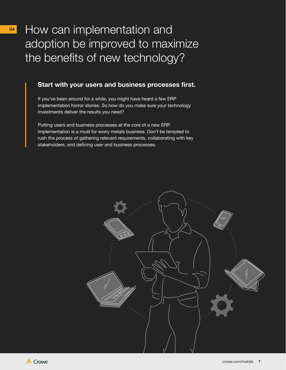How can implementation and adoption be improved to maximize the benefits of new technology?

#### **Start with your users and business processes first.**

If you've been around for a while, you might have heard a few ERP implementation horror stories. So how do you make sure your technology investments deliver the results you need?

Putting users and business processes at the core of a new ERP implementation is a must for every metals business. Don't be tempted to rush the process of gathering relevant requirements, collaborating with key stakeholders, and defining user and business processes.